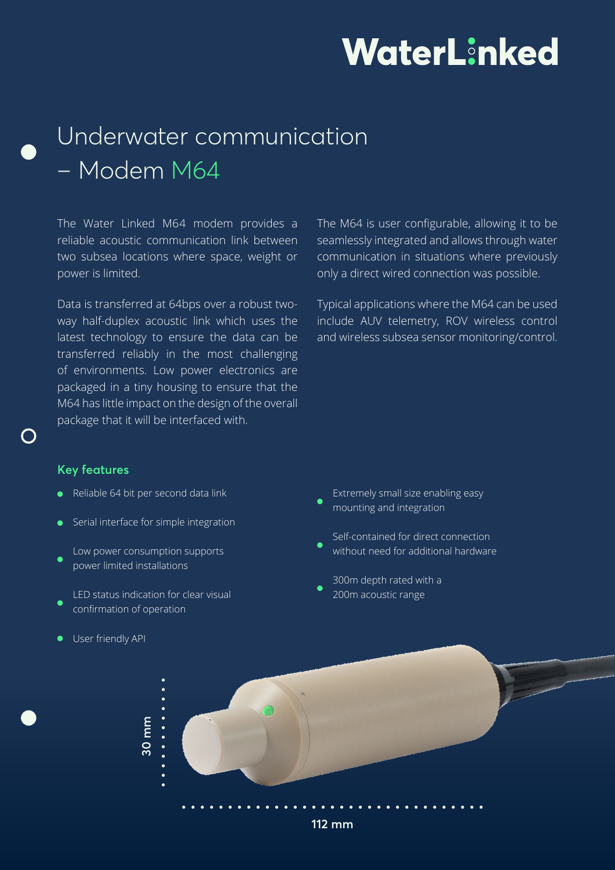## WaterLinked

### Underwater communication – Modem M64

The Water Linked M64 modem provides a reliable acoustic communication link between two subsea locations where space, weight or power is limited.

Data is transferred at 64bps over a robust twoway half-duplex acoustic link which uses the latest technology to ensure the data can be transferred reliably in the most challenging of environments. Low power electronics are packaged in a tiny housing to ensure that the M64 has little impact on the design of the overall package that it will be interfaced with.

The M64 is user configurable, allowing it to be seamlessly integrated and allows through water communication in situations where previously only a direct wired connection was possible.

Typical applications where the M64 can be used include AUV telemetry, ROV wireless control and wireless subsea sensor monitoring/control.

#### **Key features**

- Reliable 64 bit per second data link
- Serial interface for simple integration
- Low power consumption supports power limited installations
- LED status indication for clear visual confirmation of operation
- **User friendly API**
- Extremely small size enabling easy mounting and integration
- Self-contained for direct connection without need for additional hardware
- 300m depth rated with a 200m acoustic range



**112 mm**